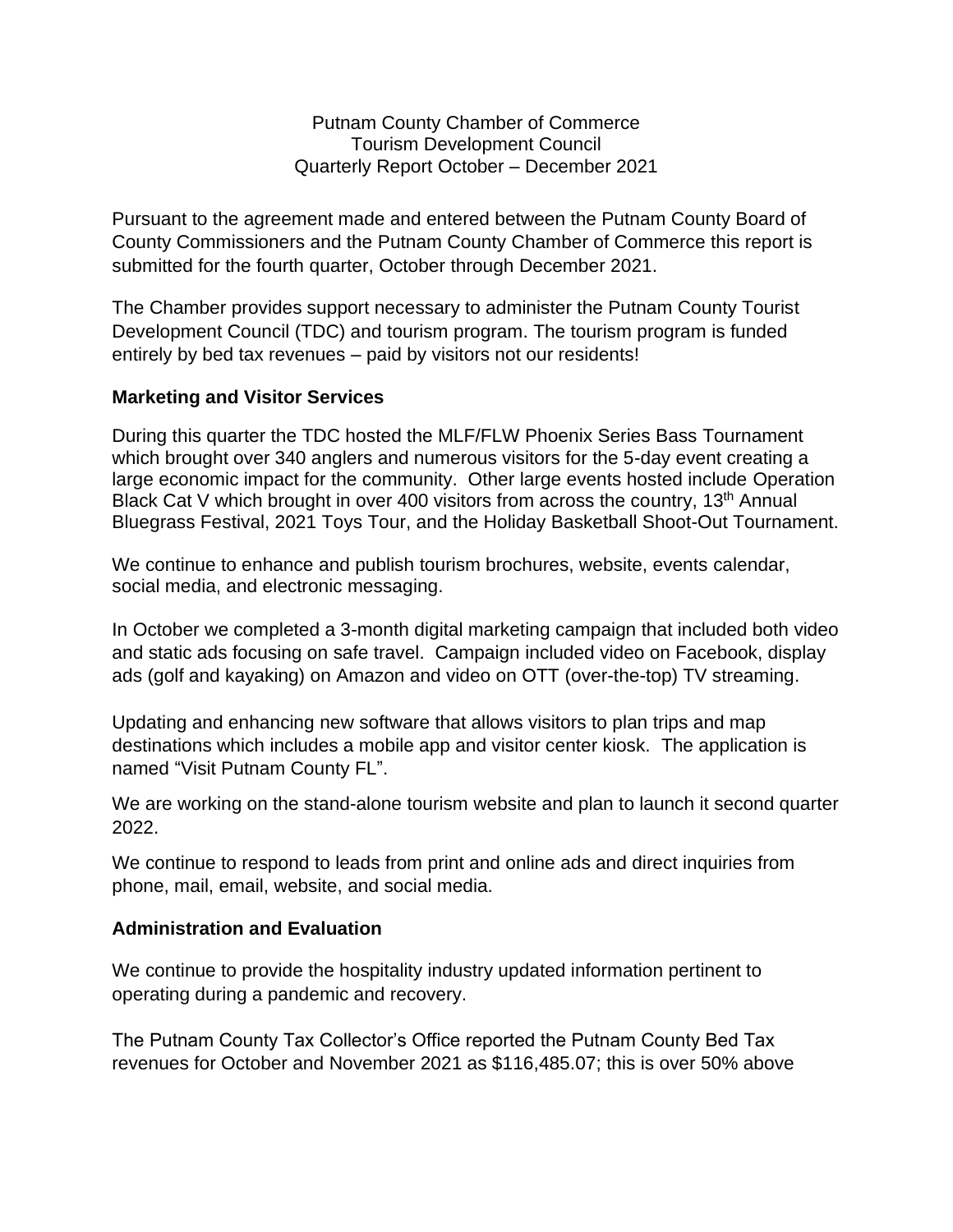Putnam County Chamber of Commerce Tourism Development Council Quarterly Report October – December 2021

Pursuant to the agreement made and entered between the Putnam County Board of County Commissioners and the Putnam County Chamber of Commerce this report is submitted for the fourth quarter, October through December 2021.

The Chamber provides support necessary to administer the Putnam County Tourist Development Council (TDC) and tourism program. The tourism program is funded entirely by bed tax revenues – paid by visitors not our residents!

## **Marketing and Visitor Services**

During this quarter the TDC hosted the MLF/FLW Phoenix Series Bass Tournament which brought over 340 anglers and numerous visitors for the 5-day event creating a large economic impact for the community. Other large events hosted include Operation Black Cat V which brought in over 400 visitors from across the country, 13<sup>th</sup> Annual Bluegrass Festival, 2021 Toys Tour, and the Holiday Basketball Shoot-Out Tournament.

We continue to enhance and publish tourism brochures, website, events calendar, social media, and electronic messaging.

In October we completed a 3-month digital marketing campaign that included both video and static ads focusing on safe travel. Campaign included video on Facebook, display ads (golf and kayaking) on Amazon and video on OTT (over-the-top) TV streaming.

Updating and enhancing new software that allows visitors to plan trips and map destinations which includes a mobile app and visitor center kiosk. The application is named "Visit Putnam County FL".

We are working on the stand-alone tourism website and plan to launch it second quarter 2022.

We continue to respond to leads from print and online ads and direct inquiries from phone, mail, email, website, and social media.

## **Administration and Evaluation**

We continue to provide the hospitality industry updated information pertinent to operating during a pandemic and recovery.

The Putnam County Tax Collector's Office reported the Putnam County Bed Tax revenues for October and November 2021 as \$116,485.07; this is over 50% above